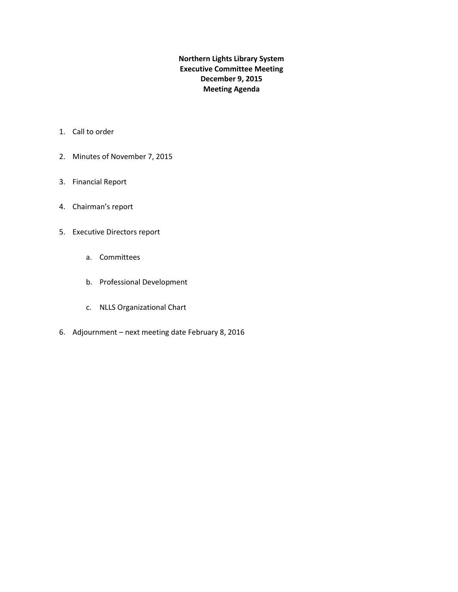**Northern Lights Library System Executive Committee Meeting December 9, 2015 Meeting Agenda**

- 1. Call to order
- 2. Minutes of November 7, 2015
- 3. Financial Report
- 4. Chairman's report
- 5. Executive Directors report
	- a. Committees
	- b. Professional Development
	- c. NLLS Organizational Chart
- 6. Adjournment next meeting date February 8, 2016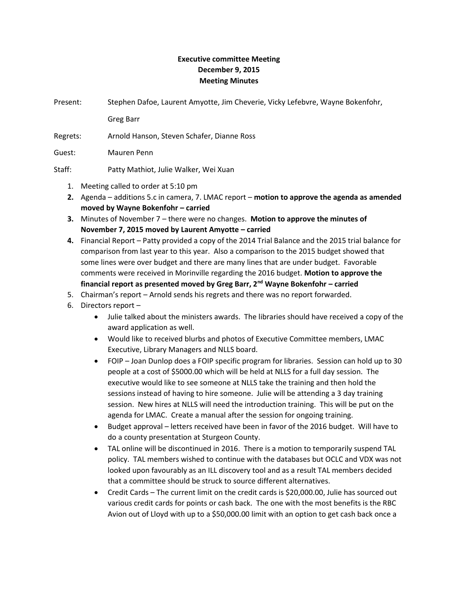## **Executive committee Meeting December 9, 2015 Meeting Minutes**

Present: Stephen Dafoe, Laurent Amyotte, Jim Cheverie, Vicky Lefebvre, Wayne Bokenfohr,

Greg Barr

Regrets: Arnold Hanson, Steven Schafer, Dianne Ross

Guest: Mauren Penn

Staff: Patty Mathiot, Julie Walker, Wei Xuan

- 1. Meeting called to order at 5:10 pm
- **2.** Agenda additions 5.c in camera, 7. LMAC report **motion to approve the agenda as amended moved by Wayne Bokenfohr – carried**
- **3.** Minutes of November 7 there were no changes. **Motion to approve the minutes of November 7, 2015 moved by Laurent Amyotte – carried**
- **4.** Financial Report Patty provided a copy of the 2014 Trial Balance and the 2015 trial balance for comparison from last year to this year. Also a comparison to the 2015 budget showed that some lines were over budget and there are many lines that are under budget. Favorable comments were received in Morinville regarding the 2016 budget. **Motion to approve the financial report as presented moved by Greg Barr, 2nd Wayne Bokenfohr – carried**
- 5. Chairman's report Arnold sends his regrets and there was no report forwarded.
- 6. Directors report
	- Julie talked about the ministers awards. The libraries should have received a copy of the award application as well.
	- Would like to received blurbs and photos of Executive Committee members, LMAC Executive, Library Managers and NLLS board.
	- FOIP Joan Dunlop does a FOIP specific program for libraries. Session can hold up to 30 people at a cost of \$5000.00 which will be held at NLLS for a full day session. The executive would like to see someone at NLLS take the training and then hold the sessions instead of having to hire someone. Julie will be attending a 3 day training session. New hires at NLLS will need the introduction training. This will be put on the agenda for LMAC. Create a manual after the session for ongoing training.
	- Budget approval letters received have been in favor of the 2016 budget. Will have to do a county presentation at Sturgeon County.
	- TAL online will be discontinued in 2016. There is a motion to temporarily suspend TAL policy. TAL members wished to continue with the databases but OCLC and VDX was not looked upon favourably as an ILL discovery tool and as a result TAL members decided that a committee should be struck to source different alternatives.
	- Credit Cards The current limit on the credit cards is \$20,000.00, Julie has sourced out various credit cards for points or cash back. The one with the most benefits is the RBC Avion out of Lloyd with up to a \$50,000.00 limit with an option to get cash back once a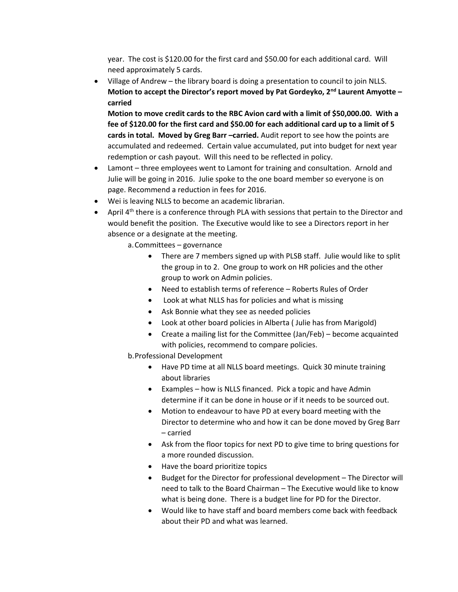year. The cost is \$120.00 for the first card and \$50.00 for each additional card. Will need approximately 5 cards.

• Village of Andrew – the library board is doing a presentation to council to join NLLS. **Motion to accept the Director's report moved by Pat Gordeyko, 2nd Laurent Amyotte – carried**

**Motion to move credit cards to the RBC Avion card with a limit of \$50,000.00. With a fee of \$120.00 for the first card and \$50.00 for each additional card up to a limit of 5 cards in total. Moved by Greg Barr –carried.** Audit report to see how the points are accumulated and redeemed. Certain value accumulated, put into budget for next year redemption or cash payout. Will this need to be reflected in policy.

- Lamont three employees went to Lamont for training and consultation. Arnold and Julie will be going in 2016. Julie spoke to the one board member so everyone is on page. Recommend a reduction in fees for 2016.
- Wei is leaving NLLS to become an academic librarian.
- April  $4<sup>th</sup>$  there is a conference through PLA with sessions that pertain to the Director and would benefit the position. The Executive would like to see a Directors report in her absence or a designate at the meeting.

a.Committees – governance

- There are 7 members signed up with PLSB staff. Julie would like to split the group in to 2. One group to work on HR policies and the other group to work on Admin policies.
- Need to establish terms of reference Roberts Rules of Order
- Look at what NLLS has for policies and what is missing
- Ask Bonnie what they see as needed policies
- Look at other board policies in Alberta ( Julie has from Marigold)
- Create a mailing list for the Committee (Jan/Feb) become acquainted with policies, recommend to compare policies.

b.Professional Development

- Have PD time at all NLLS board meetings. Quick 30 minute training about libraries
- Examples how is NLLS financed. Pick a topic and have Admin determine if it can be done in house or if it needs to be sourced out.
- Motion to endeavour to have PD at every board meeting with the Director to determine who and how it can be done moved by Greg Barr – carried
- Ask from the floor topics for next PD to give time to bring questions for a more rounded discussion.
- Have the board prioritize topics
- Budget for the Director for professional development The Director will need to talk to the Board Chairman – The Executive would like to know what is being done. There is a budget line for PD for the Director.
- Would like to have staff and board members come back with feedback about their PD and what was learned.